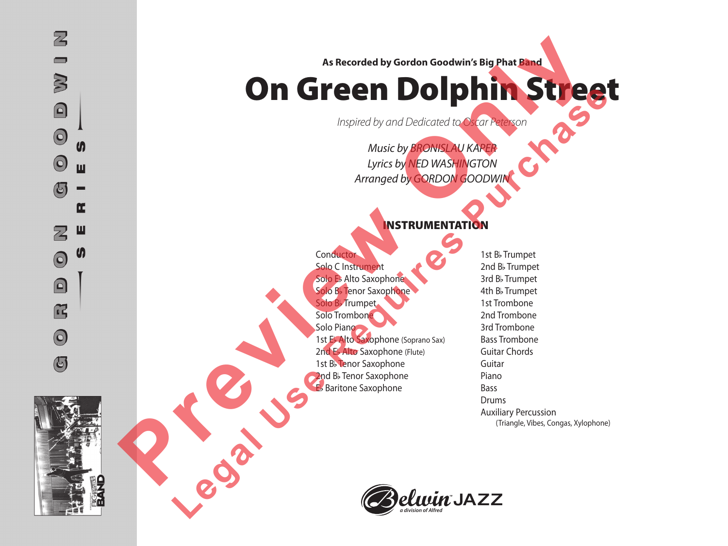**As Recorded by Gordon Goodwin's Big Phat Band**

## On Green Dolphin Street

*Inspired by and Dedicated to Oscar Peterson*

*Music by BRONISLAU KAPER Lyrics by NED WASHINGTON Arranged by GORDON GOODWIN*

## **INSTRUMENTATION Conductor** Solo C Instrument Solo Eb Alto Saxophone Solo B<sub>b</sub> Tenor Saxophone Solo B<sub>b</sub> Trumpet Solo Trombone Solo Piano 1st E<sub>P</sub> Alto Saxophone (Soprano Sax) 2nd Eb Alto Saxophone (Flute) 1st Bb Tenor Saxophone 2nd B<sub>b</sub> Tenor Saxophone Eb Baritone Saxophone As Recorded by Gordon Goodwin's Big Phat Street<br>
Music by Approximation Conductions<br>
Music by Approximation<br>
Music by Approximation<br>
Anranged by Concording Conductions<br>
Anranged by Concording Conductions<br>
Annoyand Designer **Legal Use Channel State Control and Designed by GOD DUNK AIRCRESS AND ONE OF THE WASTER UNITS BY A REGULAR DESCRIPTION ATTEINED AND STREUMENT ATTION THE BUTTION OF THE STATE OF THE STATE OF THE STATE OF THE STATE OF THE S**

1st Bb Trumpet 2nd Bb Trumpet 3rd Bb Trumpet 4th Bb Trumpet 1st Trombone 2nd Trombone 3rd Trombone Bass Trombone Guitar Chords Guitar Piano Bass Drums Auxiliary Percussion (Triangle, Vibes, Congas, Xylophone)



 $\mathbf{Z}$  $\blacksquare$  $\delta$  $\boxed{\blacksquare}$  $\bigodot$  $\boldsymbol{d}_l$  $\left( \right)$ Ш  $\left(\biguplus\right)$ -Œ ш  $\bm{q}$  $\left(\bullet\right)$  $\boxed{\blacksquare}$ 码  $\bigodot$  $\bigcirc$ 

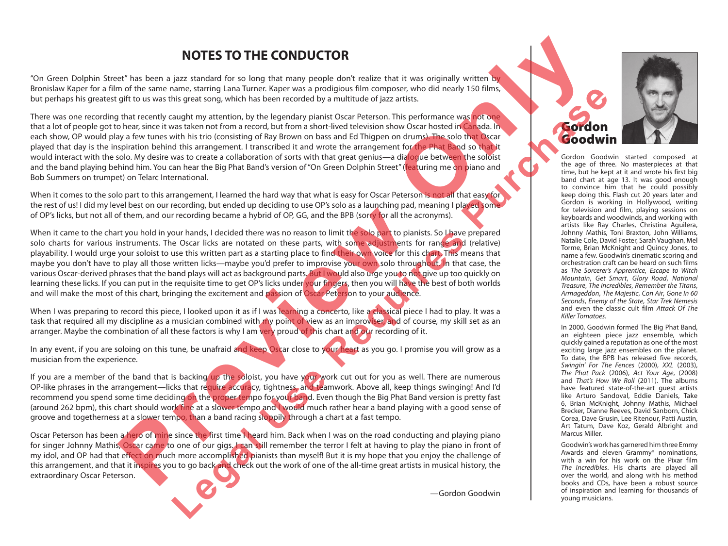## **NOTES TO THE CONDUCTOR**

"On Green Dolphin Street" has been a jazz standard for so long that many people don't realize that it was originally written by Bronislaw Kaper for a film of the same name, starring Lana Turner. Kaper was a prodigious film composer, who did nearly 150 films, but perhaps his greatest gift to us was this great song, which has been recorded by a multitude of jazz artists.

There was one recording that recently caught my attention, by the legendary pianist Oscar Peterson. This performance was not one that a lot of people got to hear, since it was taken not from a record, but from a short-lived television show Oscar hosted in Canada. In each show, OP would play a few tunes with his trio (consisting of Ray Brown on bass and Ed Thigpen on drums). The solo that Oscar played that day is the inspiration behind this arrangement. I transcribed it and wrote the arrangement for the Phat Band so that it would interact with the solo. My desire was to create a collaboration of sorts with that great genius—a dialogue between the soloist and the band playing behind him. You can hear the Big Phat Band's version of "On Green Dolphin Street" (featuring me on piano and Bob Summers on trumpet) on Telarc International. **NOTES TO THE CONDUCTOR**<br>
The later size and other hand the interpretation and the interpretation and interpretation and interpretation and interpretation and interpretation and interpretation and interpretation and interp anne, starming Lama Tumes Kaper was a product bin compass who did nearly 150 times,<br>this great song which has been recorded by a multitude of para artist.<br>
Sus taken not from a record but time a brother Peterson. This perf

When it comes to the solo part to this arrangement, I learned the hard way that what is easy for Oscar Peterson is not all that easy for the rest of us! I did my level best on our recording, but ended up deciding to use OP's solo as a launching pad, meaning I played some of OP's licks, but not all of them, and our recording became a hybrid of OP, GG, and the BPB (sorry for all the acronyms).

When it came to the chart you hold in your hands, I decided there was no reason to limit the solo part to pianists. So Lhave prepared solo charts for various instruments. The Oscar licks are notated on these parts, with some adjustments for range and (relative) playability. I would urge your soloist to use this written part as a starting place to find their own voice for this chart. This means that maybe you don't have to play all those written licks—maybe you'd prefer to improvise your own solo throughout. In that case, the various Oscar-derived phrases that the band plays will act as background parts. But I would also urge you to not give up too quickly on learning these licks. If you can put in the requisite time to get OP's licks under your fingers, then you will have the best of both worlds and will make the most of this chart, bringing the excitement and passion of Oscar Peterson to your audience.

When I was preparing to record this piece, I looked upon it as if I was learning a concerto, like a classical piece I had to play. It was a task that required all my discipline as a musician combined with my point of view as an improviser, and of course, my skill set as an arranger. Maybe the combination of all these factors is why I am very proud of this chart and our recording of it.

In any event, if you are soloing on this tune, be unafraid and keep Oscar close to your heart as you go. I promise you will grow as a musician from the experience.

If you are a member of the band that is backing up the soloist, you have your work cut out for you as well. There are numerous OP-like phrases in the arrangement—licks that require accuracy, tightness, and teamwork. Above all, keep things swinging! And I'd recommend you spend some time deciding on the proper tempo for your band. Even though the Big Phat Band version is pretty fast (around 262 bpm), this chart should work fine at a slower tempo and I would much rather hear a band playing with a good sense of groove and togetherness at a slower tempo, than a band racing sloppily through a chart at a fast tempo.

Oscar Peterson has been a hero of mine since the first time I heard him. Back when I was on the road conducting and playing piano for singer Johnny Mathis, Oscar came to one of our gigs. I can still remember the terror I felt at having to play the piano in front of my idol, and OP had that effect on much more accomplished pianists than myself! But it is my hope that you enjoy the challenge of this arrangement, and that it inspires you to go back and check out the work of one of the all-time great artists in musical history, the extraordinary Oscar Peterson.

—Gordon Goodwin



Gordon Goodwin started composed at the age of three. No masterpieces at that time, but he kept at it and wrote his first big band chart at age 13. It was good enough to convince him that he could possibly keep doing this. Flash cut 20 years later and Gordon is working in Hollywood, writing for television and film, playing sessions on keyboards and woodwinds, and working with artists like Ray Charles, Christina Aguilera, Johnny Mathis, Toni Braxton, John Williams, Natalie Cole, David Foster, Sarah Vaughan, Mel Torme, Brian McKnight and Quincy Jones, to name a few. Goodwin's cinematic scoring and orchestration craft can be heard on such films as *The Sorcerer's Apprentice*, *Escape to Witch Mountain*, *Get Smart*, *Glory Road*, *National Treasure*, *The Incredibles*, *Remember the Titans*, *Armageddon*, *The Majestic*, *Con Air*, *Gone In 60 Seconds*, *Enemy of the State*, *Star Trek Nemesis* and even the classic cult film *Attack Of The Killer Tomatoes*.

In 2000, Goodwin formed The Big Phat Band, an eighteen piece jazz ensemble, which quickly gained a reputation as one of the most exciting large jazz ensembles on the planet. To date, the BPB has released five records, *Swingin' For The Fences* (2000), *XXL* (2003), *The Phat Pack* (2006), *Act Your Age*, (2008) and *That's How We Roll* (2011). The albums have featured state-of-the-art guest artists like Arturo Sandoval, Eddie Daniels, Take 6, Brian McKnight, Johnny Mathis, Michael Brecker, Dianne Reeves, David Sanborn, Chick Corea, Dave Grusin, Lee Ritenour, Patti Austin, Art Tatum, Dave Koz, Gerald Albright and Marcus Miller.

Goodwin's work has garnered him three Emmy Awards and eleven Grammy® nominations, with a win for his work on the Pixar film *The Incredibles*. His charts are played all over the world, and along with his method books and CDs, have been a robust source<br>of inspiration and learning for thousands of young musicians.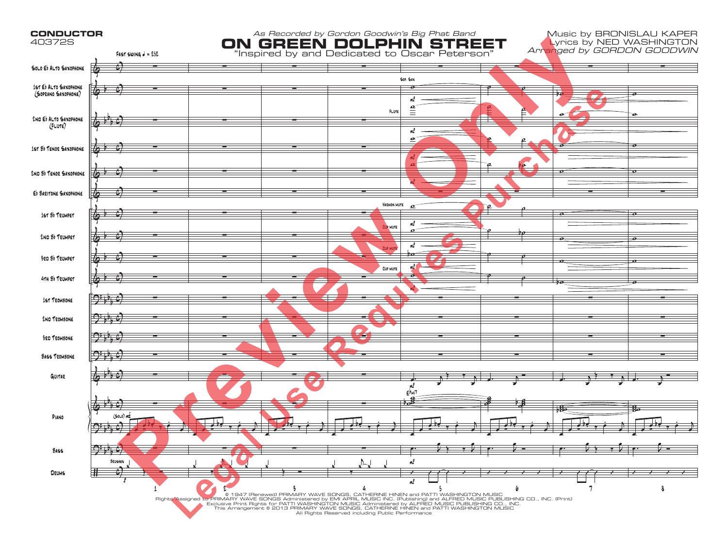**CONDUCTOR**

40372S

As Recorded by Gordon Goodwin's Big Phat Band

Music by BRONISLAU KAPER **Lyrics by NED WASHINGTON** Arranged by GORDON GOODWIN

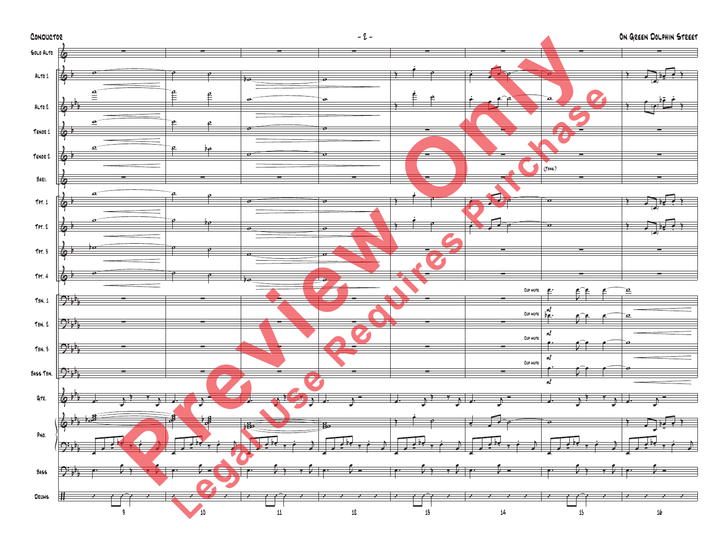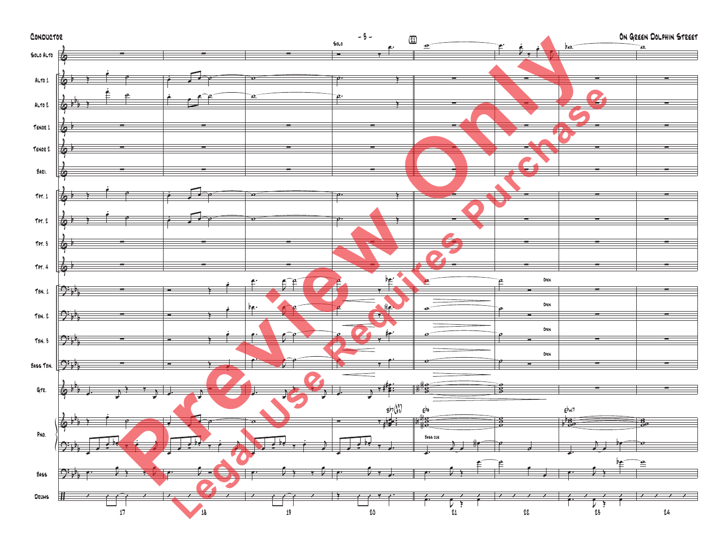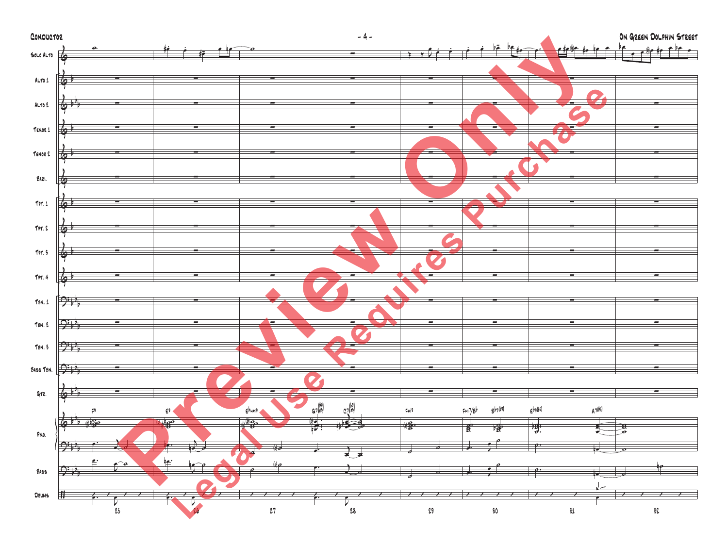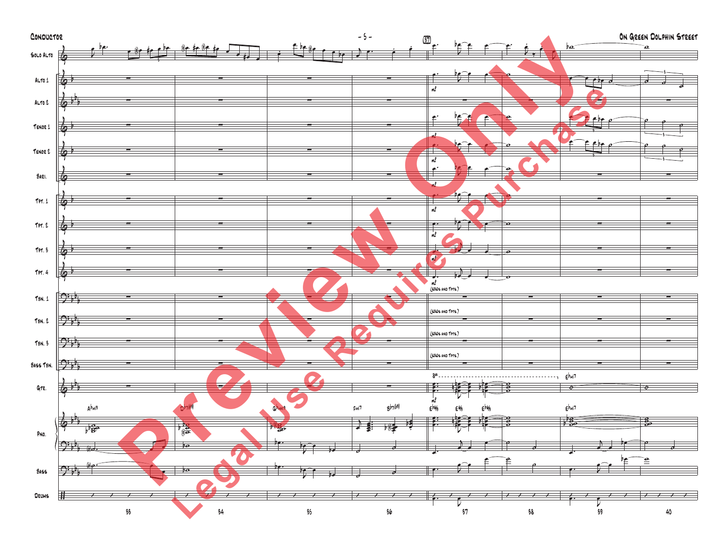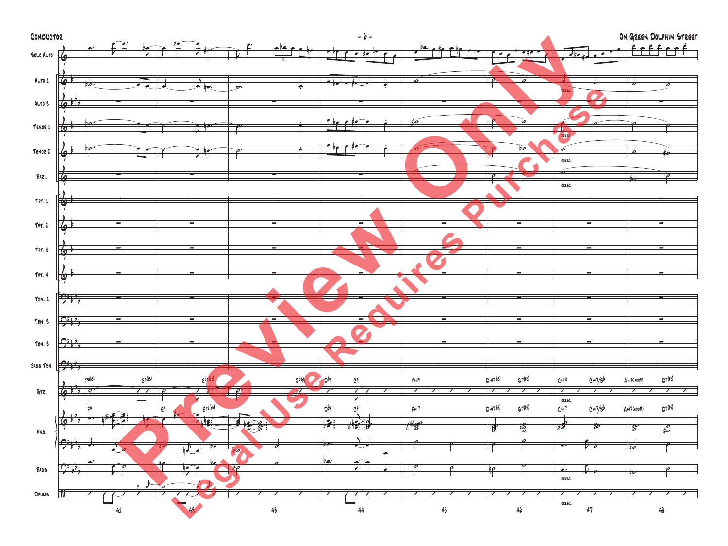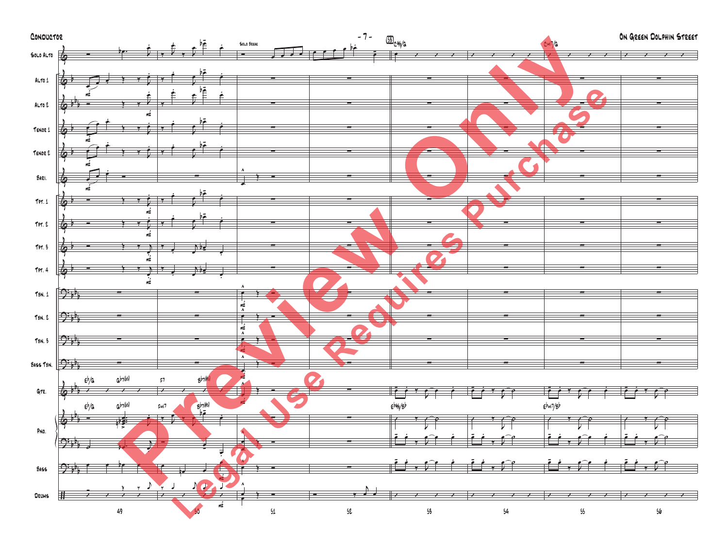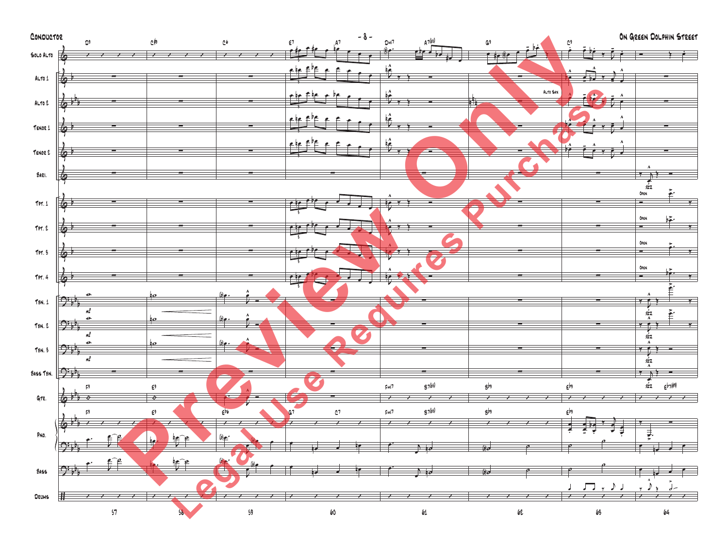![](_page_9_Figure_0.jpeg)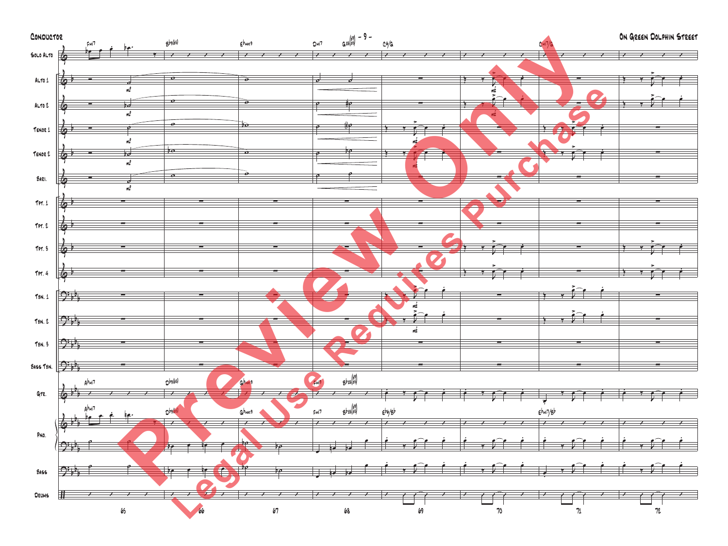![](_page_10_Figure_0.jpeg)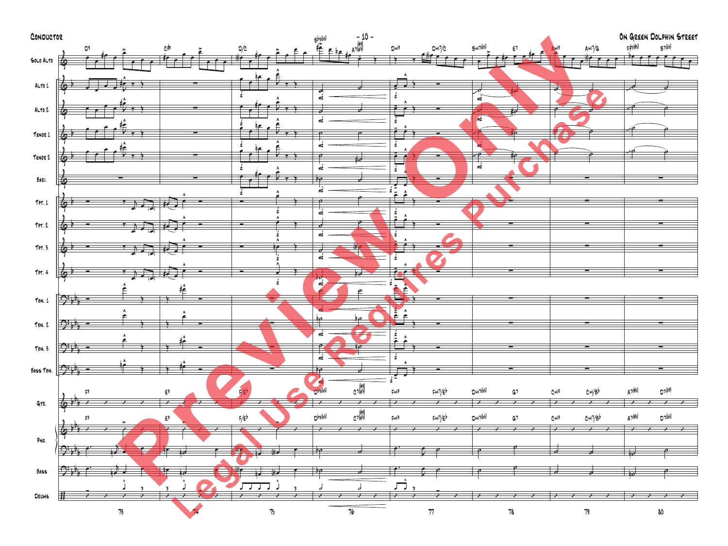![](_page_11_Figure_0.jpeg)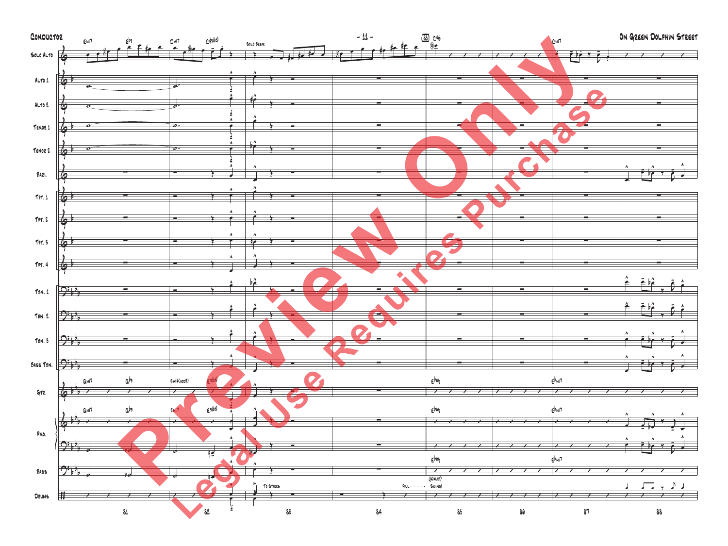![](_page_12_Figure_0.jpeg)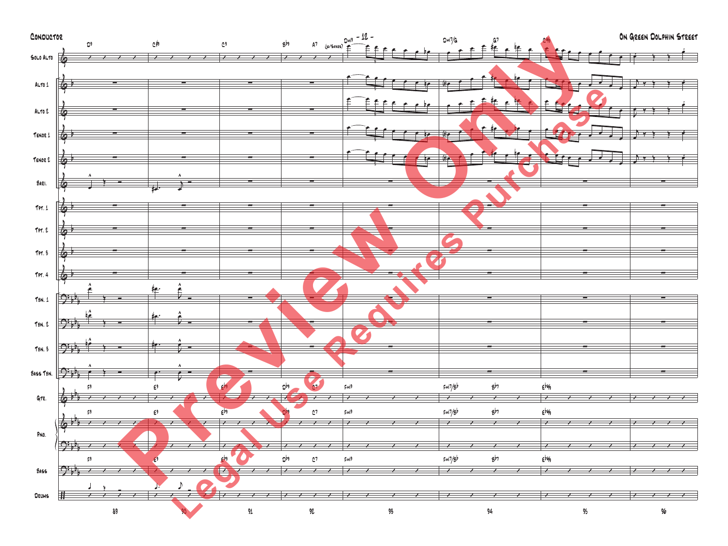![](_page_13_Figure_0.jpeg)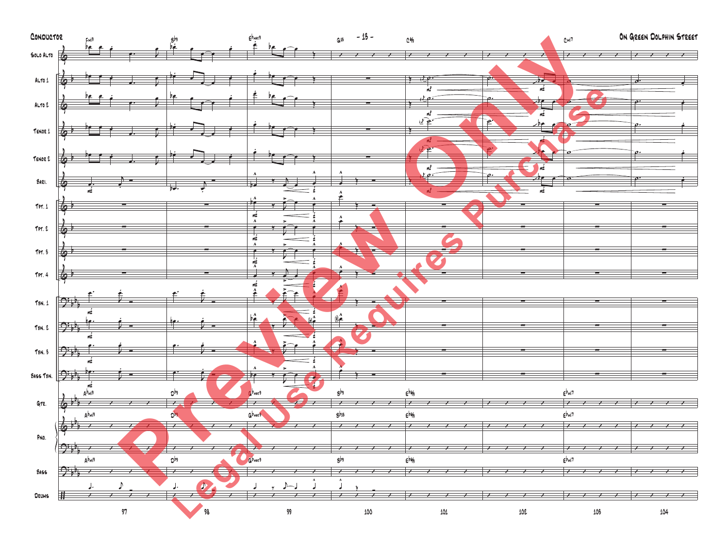![](_page_14_Figure_0.jpeg)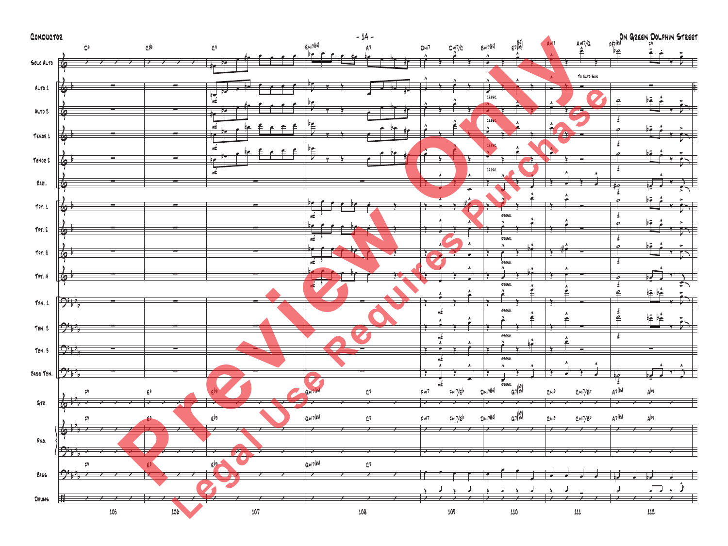![](_page_15_Figure_0.jpeg)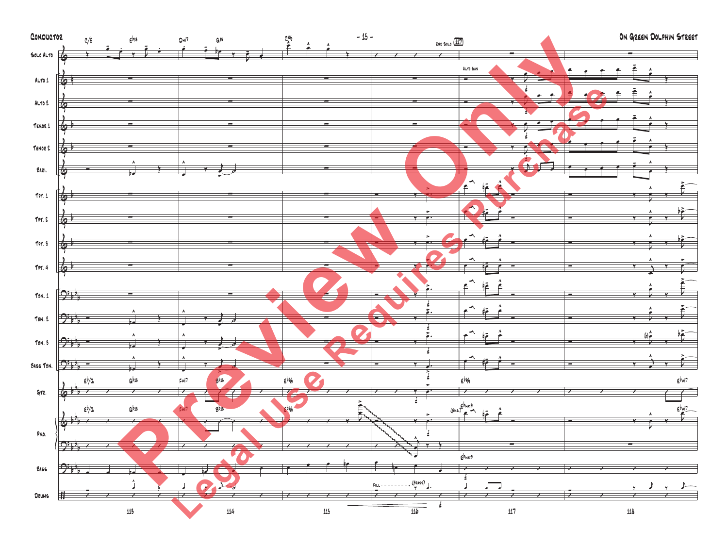![](_page_16_Figure_0.jpeg)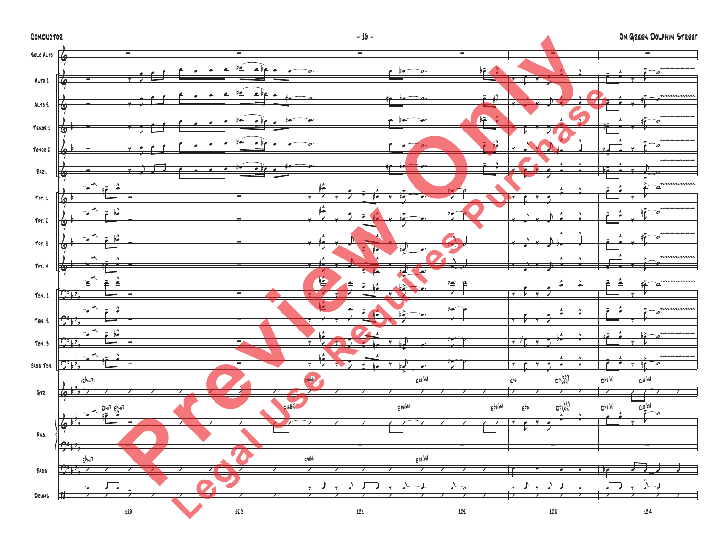![](_page_17_Figure_0.jpeg)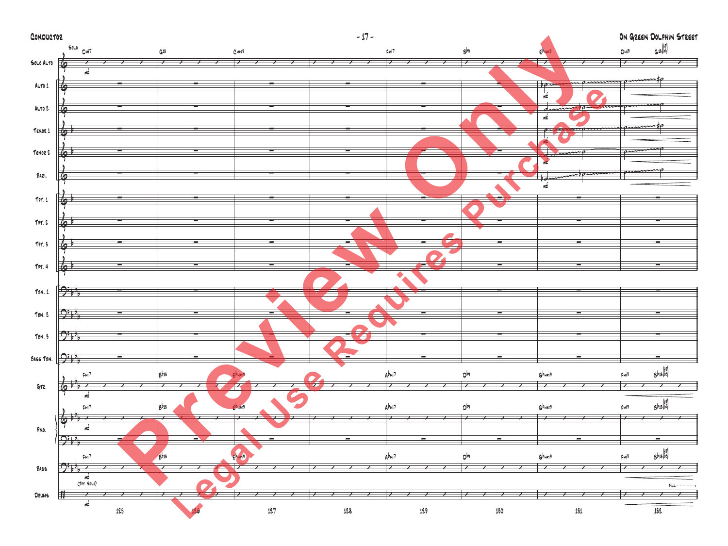![](_page_18_Figure_0.jpeg)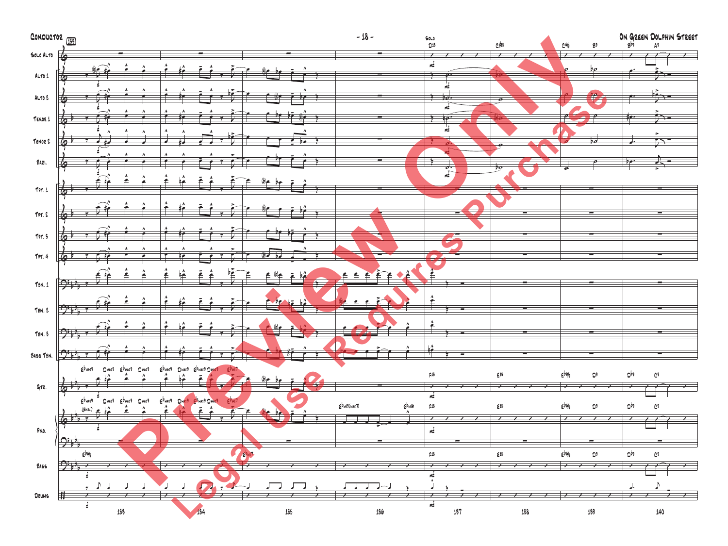![](_page_19_Figure_0.jpeg)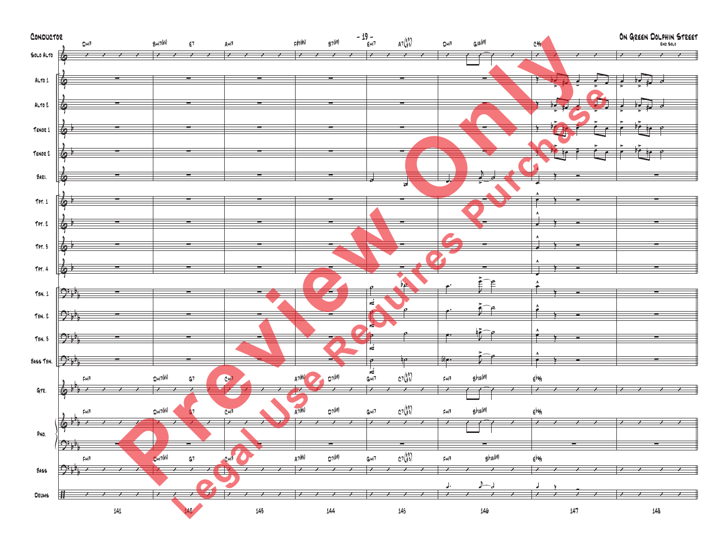![](_page_20_Figure_0.jpeg)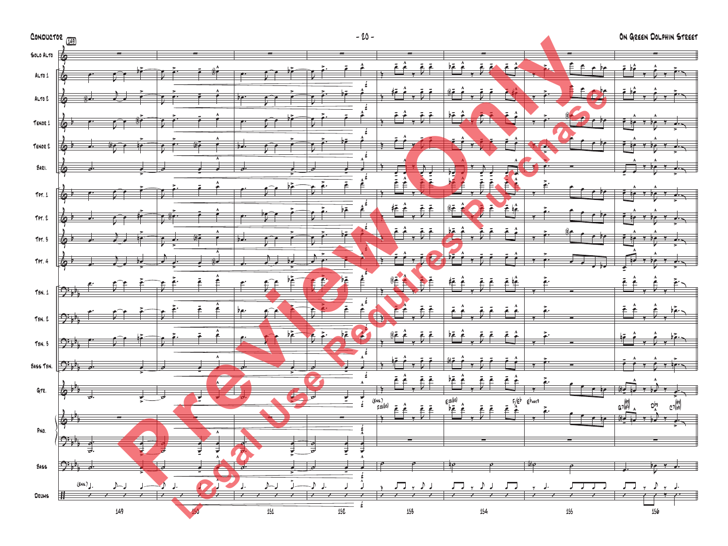![](_page_21_Figure_0.jpeg)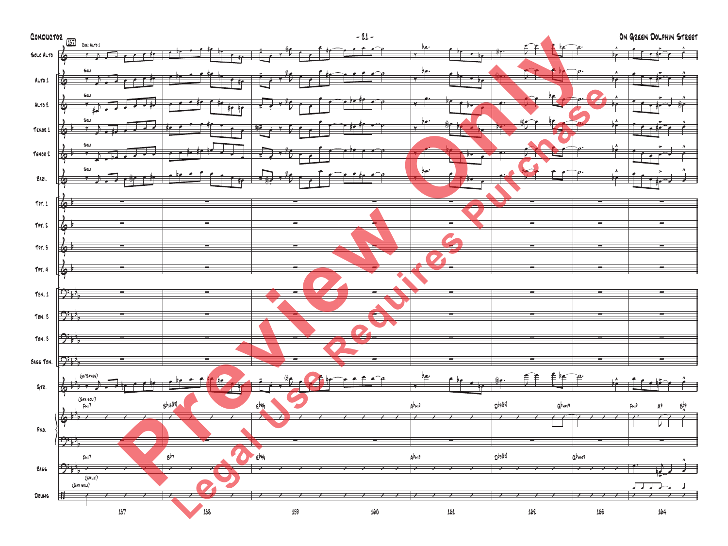![](_page_22_Figure_0.jpeg)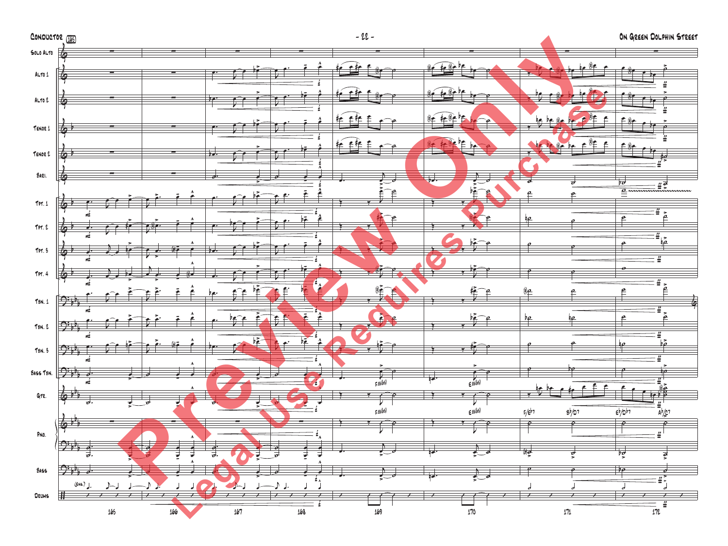![](_page_23_Figure_0.jpeg)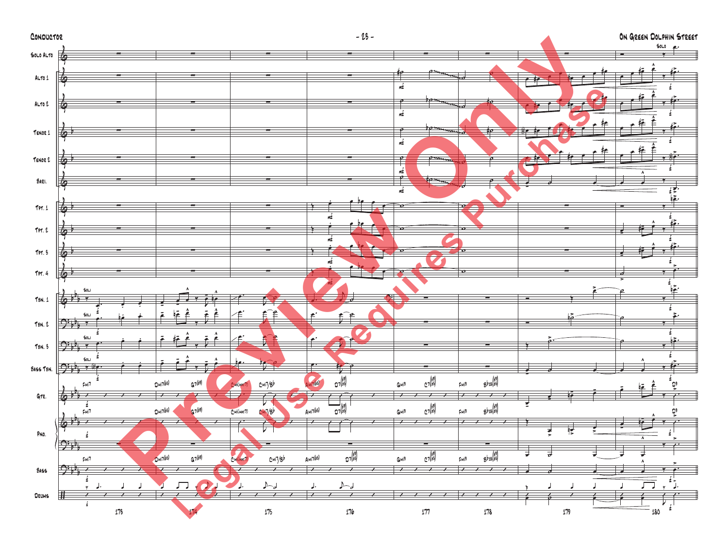![](_page_24_Figure_0.jpeg)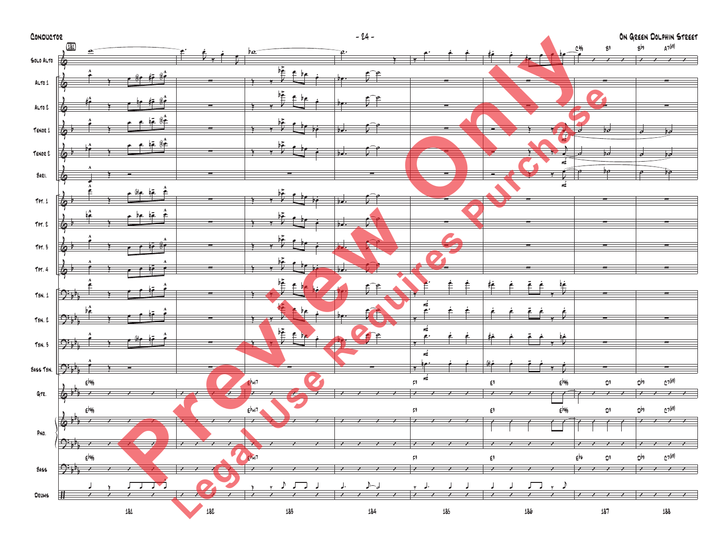![](_page_25_Figure_0.jpeg)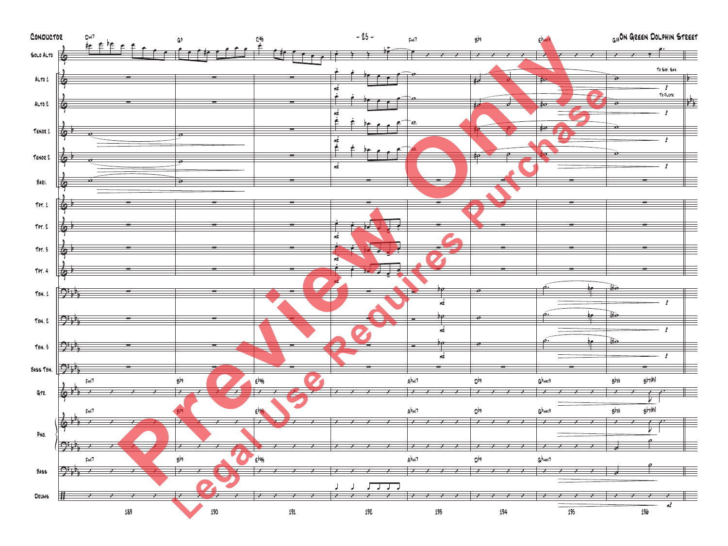![](_page_26_Figure_0.jpeg)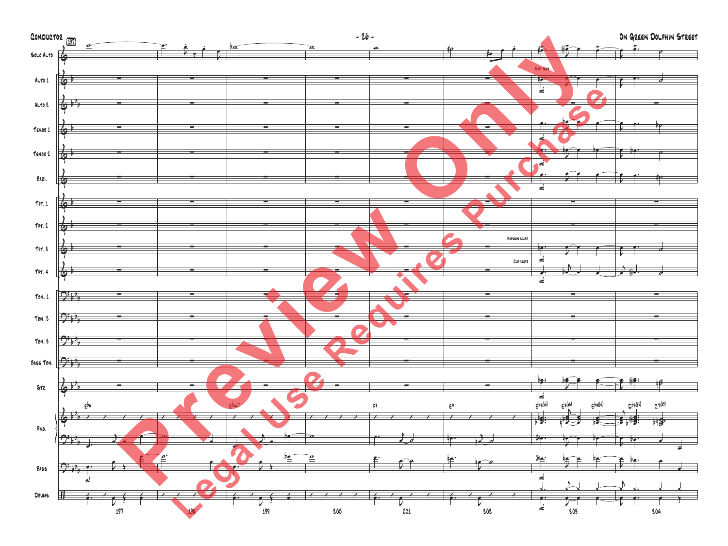![](_page_27_Figure_0.jpeg)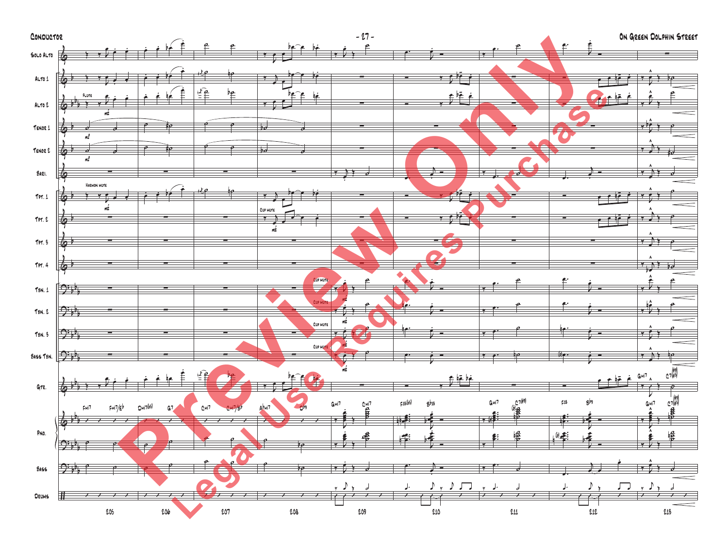![](_page_28_Figure_0.jpeg)